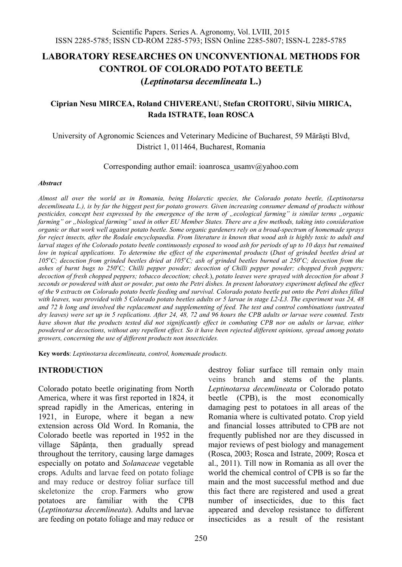# **LABORATORY RESEARCHES ON UNCONVENTIONAL METHODS FOR CONTROL OF COLORADO POTATO BEETLE**

## **(***Leptinotarsa decemlineata* **L.)**

# **Ciprian Nesu MIRCEA, Roland CHIVEREANU, Stefan CROITORU, Silviu MIRICA, Rada ISTRATE, Ioan ROSCA**

University of Agronomic Sciences and Veterinary Medicine of Bucharest, 59 Mărăúti Blvd, District 1, 011464, Bucharest, Romania

Corresponding author email: ioanrosca\_usamv@yahoo.com

#### *Abstract*

*Almost all over the world as in Romania, being Holarctic species, the Colorado potato beetle, (Leptinotarsa decemlineata L.), is by far the biggest pest for potato growers. Given increasing consumer demand of products without pesticides, concept best expressed by the emergence of the term of "ecological farming" is similar terms "organic farming" or "biological farming" used in other EU Member States. There are a few methods, taking into consideration organic or that work well against potato beetle. Some organic gardeners rely on a broad-spectrum of homemade sprays* for reject insects, after the Rodale encyclopaedia. From literature is known that wood ash is highly toxic to adult and larval stages of the Colorado potato beetle continuously exposed to wood ash for periods of up to 10 days but remained low in topical applications. To determine the effect of the experimental products (Dust of grinded beetles dried at 105°C; decoction from grinded beetles dried at 105°C; ash of grinded beetles burned at 250°C; decoction from the *ashes of burnt bugs to 250<sup>o</sup> C; Chilli pepper powder; decoction of Chilli pepper powder; chopped fresh peppers; decoction of fresh chopped peppers; tobacco decoction; check.*), *potato leaves were sprayed with decoction for about 3* seconds or powdered with dust or powder, put onto the Petri dishes. In present laboratory experiment defined the effect *of the 9 extracts on Colorado potato beetle feeding and survival. Colorado potato beetle put onto the Petri dishes filled with leaves, was provided with 5 Colorado potato beetles adults or 5 larvae in stage L2-L3. The experiment was 24, 48 and 72 h long and involved the replacement and supplementing of feed. The test and control combinations (untreated dry leaves) were set up in 5 replications. After 24, 48, 72 and 96 hours the CPB adults or larvae were counted. Tests have shown that the products tested did not significantly effect in combating CPB nor on adults or larvae, either powdered or decoctions, without any repellent effect. So it have been rejected different opinions, spread among potato growers, concerning the use of different products non insecticides.*

**Key words**: *Leptinotarsa decemlineata, control, homemade products.*

### **INTRODUCTION**

Colorado potato beetle originating from North America, where it was first reported in 1824, it spread rapidly in the Americas, entering in 1921, in Europe, where it began a new extension across Old Word. In Romania, the Colorado beetle was reported in 1952 in the village Săpânta, then gradually spread throughout the territory, causing large damages especially on potato and *Solanaceae* vegetable crops. Adults and larvae feed on potato foliage and may reduce or destroy foliar surface till skeletonize the crop. Farmers who grow potatoes are familiar with the CPB (*Leptinotarsa decemlineata*). Adults and larvae are feeding on potato foliage and may reduce or

destroy foliar surface till remain only main veins branch and stems of the plants. *Leptinotarsa decemlineata* or Colorado potato beetle (CPB), is the most economically damaging pest to potatoes in all areas of the Romania where is cultivated potato. Crop yield and financial losses attributed to CPB are not frequently published nor are they discussed in major reviews of pest biology and management (Rosca, 2003; Rosca and Istrate, 2009; Rosca et al., 2011). Till now in Romania as all over the world the chemical control of CPB is so far the main and the most successful method and due this fact there are registered and used a great number of insecticides, due to this fact appeared and develop resistance to different insecticides as a result of the resistant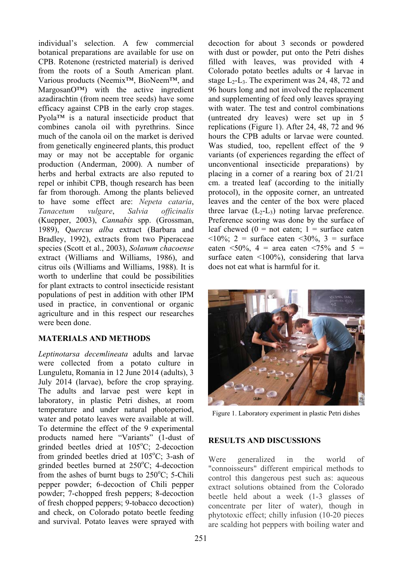individual's selection. A few commercial botanical preparations are available for use on CPB. Rotenone (restricted material) is derived from the roots of a South American plant. Various products (Neemix™, BioNeem™, and MargosanO™) with the active ingredient azadirachtin (from neem tree seeds) have some efficacy against CPB in the early crop stages. Pyola™ is a natural insecticide product that combines canola oil with pyrethrins. Since much of the canola oil on the market is derived from genetically engineered plants, this product may or may not be acceptable for organic production (Anderman, 2000). A number of herbs and herbal extracts are also reputed to repel or inhibit CPB, though research has been far from thorough. Among the plants believed to have some effect are: *Nepeta cataria*, *Tanacetum vulgare*, *Salvia officinalis* (Kuepper, 2003), *Cannabis* spp. (Grossman, 1989), Q*uercus alba* extract (Barbara and Bradley, 1992), extracts from two Piperaceae species (Scott et al., 2003), *Solanum chacoense* extract (Williams and Williams, 1986), and citrus oils (Williams and Williams, 1988). It is worth to underline that could be possibilities for plant extracts to control insecticide resistant populations of pest in addition with other IPM used in practice, in conventional or organic agriculture and in this respect our researches were been done.

# **MATERIALS AND METHODS**

*Leptinotarsa decemlineata* adults and larvae were collected from a potato culture in Lunguletu, Romania in 12 June 2014 (adults), 3 July 2014 (larvae), before the crop spraying. The adults and larvae pest were kept in laboratory, in plastic Petri dishes, at room temperature and under natural photoperiod, water and potato leaves were available at will. To determine the effect of the 9 experimental products named here "Variants" (1-dust of grinded beetles dried at  $105^{\circ}$ C; 2-decoction from grinded beetles dried at 105°C; 3-ash of grinded beetles burned at 250°C; 4-decoction from the ashes of burnt bugs to  $250^{\circ}$ C; 5-Chili pepper powder; 6-decoction of Chili pepper powder; 7-chopped fresh peppers; 8-decoction of fresh chopped peppers; 9-tobacco decoction) and check, on Colorado potato beetle feeding and survival. Potato leaves were sprayed with

decoction for about 3 seconds or powdered with dust or powder, put onto the Petri dishes filled with leaves, was provided with 4 Colorado potato beetles adults or 4 larvae in stage  $L_2$ - $L_3$ . The experiment was 24, 48, 72 and 96 hours long and not involved the replacement and supplementing of feed only leaves spraying with water. The test and control combinations (untreated dry leaves) were set up in 5 replications (Figure 1). After 24, 48, 72 and 96 hours the CPB adults or larvae were counted. Was studied, too, repellent effect of the 9 variants (of experiences regarding the effect of unconventional insecticide preparations) by placing in a corner of a rearing box of 21/21 cm. a treated leaf (according to the initially protocol), in the opposite corner, an untreated leaves and the center of the box were placed three larvae  $(L_2-L_3)$  noting larvae preference. Preference scoring was done by the surface of leaf chewed  $(0 = not eaten: 1 = surface eaten)$  $10\%$ ; 2 = surface eaten  $30\%$ , 3 = surface eaten  $\langle 50\%, 4 \rangle$  = area eaten  $\langle 75\% \rangle$  and  $5 =$ surface eaten  $\leq 100\%$ ), considering that larva does not eat what is harmful for it.



Figure 1. Laboratory experiment in plastic Petri dishes

#### **RESULTS AND DISCUSSIONS**

Were generalized in the world of "connoisseurs" different empirical methods to control this dangerous pest such as: aqueous extract solutions obtained from the Colorado beetle held about a week (1-3 glasses of concentrate per liter of water), though in phytotoxic effect; chilly infusion (10-20 pieces are scalding hot peppers with boiling water and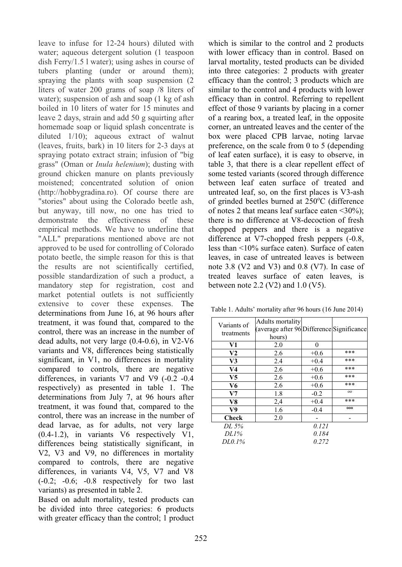leave to infuse for 12-24 hours) diluted with water; aqueous detergent solution (1 teaspoon dish Ferry/1.5 l water); using ashes in course of tubers planting (under or around them); spraying the plants with soap suspension (2 liters of water 200 grams of soap /8 liters of water); suspension of ash and soap (1 kg of ash boiled in 10 liters of water for 15 minutes and leave 2 days, strain and add 50 g squirting after homemade soap or liquid splash concentrate is diluted 1/10); aqueous extract of walnut (leaves, fruits, bark) in 10 liters for 2-3 days at spraying potato extract strain; infusion of "big grass" (Oman or *Inula helenium*); dusting with ground chicken manure on plants previously moistened; concentrated solution of onion (http://hobbygradina.ro). Of course there are "stories" about using the Colorado beetle ash, but anyway, till now, no one has tried to demonstrate the effectiveness of these empirical methods. We have to underline that "ALL" preparations mentioned above are not approved to be used for controlling of Colorado potato beetle, the simple reason for this is that the results are not scientifically certified, possible standardization of such a product, a mandatory step for registration, cost and market potential outlets is not sufficiently extensive to cover these expenses. The determinations from June 16, at 96 hours after treatment, it was found that, compared to the control, there was an increase in the number of dead adults, not very large (0.4-0.6), in V2-V6 variants and V8, differences being statistically significant, in V1, no differences in mortality compared to controls, there are negative differences, in variants V7 and V9 (-0.2 -0.4 respectively) as presented in table 1. The determinations from July 7, at 96 hours after treatment, it was found that, compared to the control, there was an increase in the number of dead larvae, as for adults, not very large (0.4-1.2), in variants V6 respectively V1, differences being statistically significant, in V2, V3 and V9, no differences in mortality compared to controls, there are negative differences, in variants V4, V5, V7 and V8  $(-0.2; -0.6; -0.8$  respectively for two last variants) as presented in table 2.

Based on adult mortality, tested products can be divided into three categories: 6 products with greater efficacy than the control; 1 product which is similar to the control and 2 products with lower efficacy than in control. Based on larval mortality, tested products can be divided into three categories: 2 products with greater efficacy than the control; 3 products which are similar to the control and 4 products with lower efficacy than in control. Referring to repellent effect of those 9 variants by placing in a corner of a rearing box, a treated leaf, in the opposite corner, an untreated leaves and the center of the box were placed CPB larvae, noting larvae preference, on the scale from 0 to 5 (depending of leaf eaten surface), it is easy to observe, in table 3, that there is a clear repellent effect of some tested variants (scored through difference between leaf eaten surface of treated and untreated leaf, so, on the first places is V3-ash of grinded beetles burned at  $250^{\circ}$ C (difference of notes 2 that means leaf surface eaten  $\leq 30\%$ ); there is no difference at V8-decoction of fresh chopped peppers and there is a negative difference at V7-chopped fresh peppers (-0.8, less than <10% surface eaten). Surface of eaten leaves, in case of untreated leaves is between note 3.8 (V2 and V3) and 0.8 (V7). In case of treated leaves surface of eaten leaves, is between note 2.2 (V2) and 1.0 (V5).

Table 1. Adults' mortality after 96 hours (16 June 2014)

| Variants of<br>treatments | Adults mortality<br>average after 96 Difference Significance<br>hours) |        |          |  |  |  |  |  |
|---------------------------|------------------------------------------------------------------------|--------|----------|--|--|--|--|--|
| V1                        | 2.0                                                                    | 0      |          |  |  |  |  |  |
| V2                        | 2.6                                                                    | $+0.6$ | ***      |  |  |  |  |  |
| V3                        | 2.4                                                                    | $+0.4$ | ***      |  |  |  |  |  |
| V <sub>4</sub>            | 2.6                                                                    | $+0.6$ | ***      |  |  |  |  |  |
| V <sub>5</sub>            | 2.6                                                                    | $+0.6$ | ***      |  |  |  |  |  |
| V6                        | 2.6                                                                    | $+0.6$ | ***      |  |  |  |  |  |
| V7                        | 1.8                                                                    | $-0.2$ | $\alpha$ |  |  |  |  |  |
| V8                        | 2,4                                                                    | $+0.4$ | ***      |  |  |  |  |  |
| V9                        | 1.6                                                                    | $-0.4$ | 000      |  |  |  |  |  |
| <b>Check</b>              | 2.0                                                                    |        |          |  |  |  |  |  |
| DL 5%                     |                                                                        | 0.121  |          |  |  |  |  |  |
| $DL1\%$                   | 0.184                                                                  |        |          |  |  |  |  |  |
| DL0.1%                    | 0.272                                                                  |        |          |  |  |  |  |  |